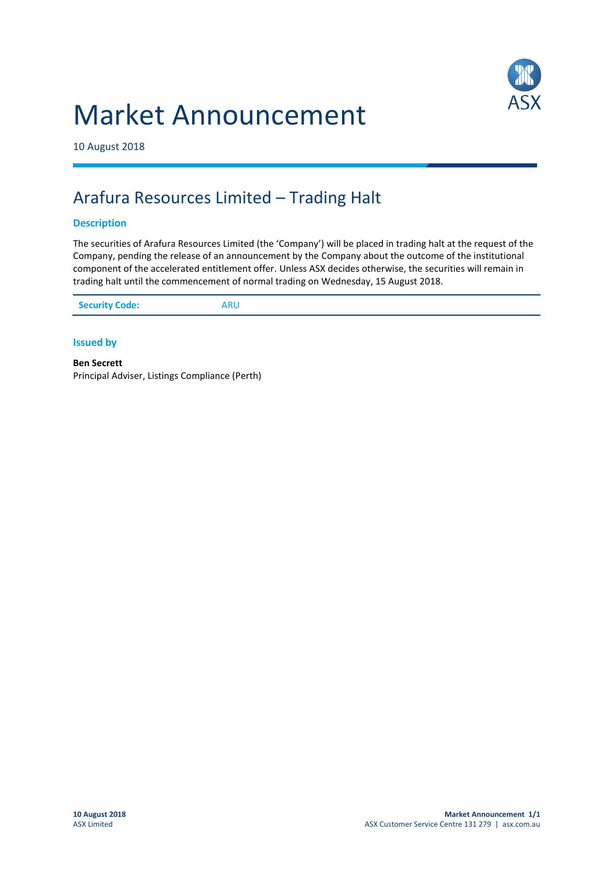



10 August 2018

## Arafura Resources Limited – Trading Halt

## **Description**

The securities of Arafura Resources Limited (the 'Company') will be placed in trading halt at the request of the Company, pending the release of an announcement by the Company about the outcome of the institutional component of the accelerated entitlement offer. Unless ASX decides otherwise, the securities will remain in trading halt until the commencement of normal trading on Wednesday, 15 August 2018.

| <b>Security Code:</b><br>ARU |
|------------------------------|
|------------------------------|

**Issued by**

**Ben Secrett** Principal Adviser, Listings Compliance (Perth)